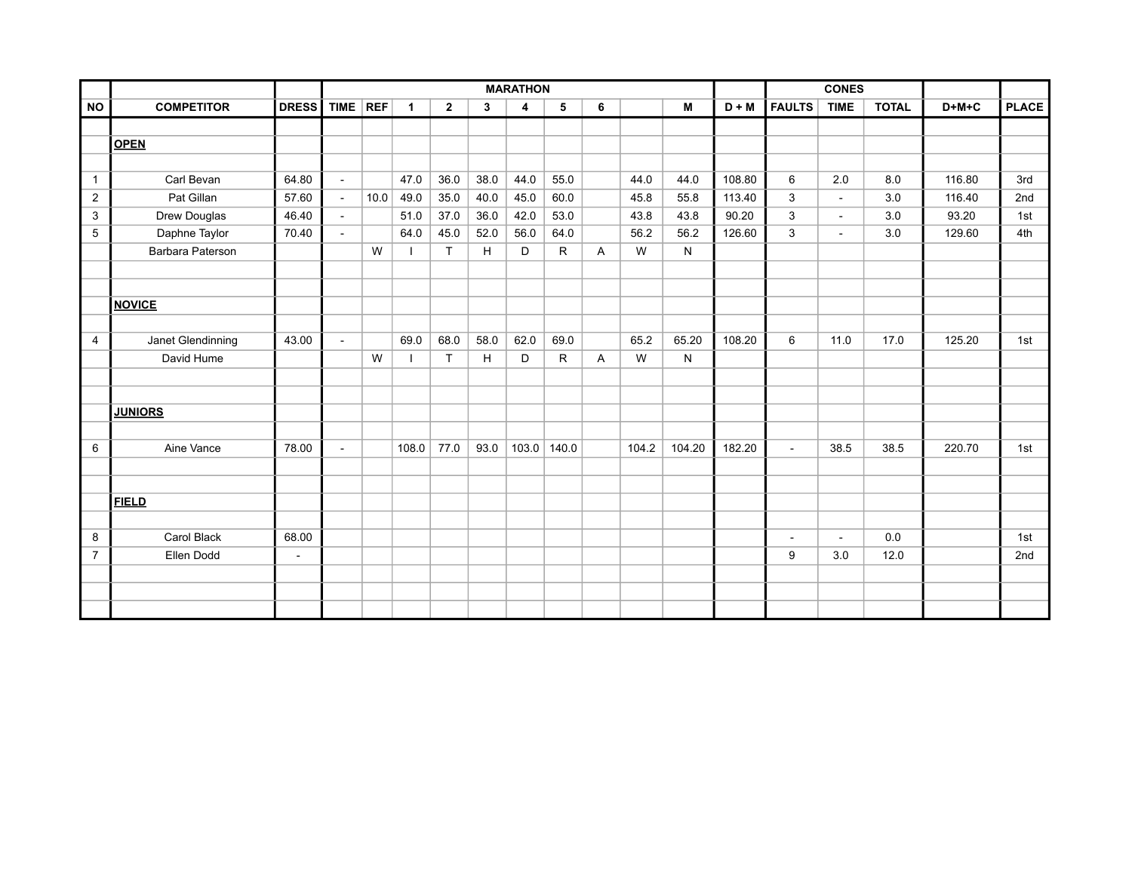|                |                    |                | <b>MARATHON</b> |      |                          |                |              |                         |                 | <b>CONES</b>   |       |        |         |               |                          |              |         |              |
|----------------|--------------------|----------------|-----------------|------|--------------------------|----------------|--------------|-------------------------|-----------------|----------------|-------|--------|---------|---------------|--------------------------|--------------|---------|--------------|
| <b>NO</b>      | <b>COMPETITOR</b>  | DRESS TIME REF |                 |      | $\overline{1}$           | $\overline{2}$ | $\mathbf{3}$ | $\overline{\mathbf{4}}$ | $5\phantom{.0}$ | $6\phantom{1}$ |       | M      | $D + M$ | <b>FAULTS</b> | <b>TIME</b>              | <b>TOTAL</b> | $D+M+C$ | <b>PLACE</b> |
|                |                    |                |                 |      |                          |                |              |                         |                 |                |       |        |         |               |                          |              |         |              |
|                | <b>OPEN</b>        |                |                 |      |                          |                |              |                         |                 |                |       |        |         |               |                          |              |         |              |
|                |                    |                |                 |      |                          |                |              |                         |                 |                |       |        |         |               |                          |              |         |              |
| $\mathbf{1}$   | Carl Bevan         | 64.80          | $\blacksquare$  |      | 47.0                     | 36.0           | 38.0         | 44.0                    | 55.0            |                | 44.0  | 44.0   | 108.80  | 6             | 2.0                      | 8.0          | 116.80  | 3rd          |
| $\overline{2}$ | Pat Gillan         | 57.60          | $\blacksquare$  | 10.0 | 49.0                     | 35.0           | 40.0         | 45.0                    | 60.0            |                | 45.8  | 55.8   | 113.40  | $\mathbf{3}$  | $\blacksquare$           | 3.0          | 116.40  | 2nd          |
| $\mathbf{3}$   | Drew Douglas       | 46.40          | $\sim$          |      | 51.0                     | 37.0           | 36.0         | 42.0                    | 53.0            |                | 43.8  | 43.8   | 90.20   | $\mathbf{3}$  | $\overline{\phantom{a}}$ | 3.0          | 93.20   | 1st          |
| $\overline{5}$ | Daphne Taylor      | 70.40          | $\blacksquare$  |      | 64.0                     | 45.0           | 52.0         | 56.0                    | 64.0            |                | 56.2  | 56.2   | 126.60  | $\mathbf{3}$  | $\blacksquare$           | 3.0          | 129.60  | 4th          |
|                | Barbara Paterson   |                |                 | W    | $\overline{\phantom{a}}$ | T              | H            | D                       | $\mathsf{R}$    | $\mathsf{A}$   | W     | N      |         |               |                          |              |         |              |
|                |                    |                |                 |      |                          |                |              |                         |                 |                |       |        |         |               |                          |              |         |              |
|                |                    |                |                 |      |                          |                |              |                         |                 |                |       |        |         |               |                          |              |         |              |
|                | <b>NOVICE</b>      |                |                 |      |                          |                |              |                         |                 |                |       |        |         |               |                          |              |         |              |
|                |                    |                |                 |      |                          |                |              |                         |                 |                |       |        |         |               |                          |              |         |              |
| 4              | Janet Glendinning  | 43.00          | $\blacksquare$  |      | 69.0                     | 68.0           | 58.0         | 62.0                    | 69.0            |                | 65.2  | 65.20  | 108.20  | 6             | 11.0                     | 17.0         | 125.20  | 1st          |
|                | David Hume         |                |                 | W    | $\mathcal{L}$            | T              | H            | D                       | $\mathsf{R}$    | $\mathsf{A}$   | W     | N      |         |               |                          |              |         |              |
|                |                    |                |                 |      |                          |                |              |                         |                 |                |       |        |         |               |                          |              |         |              |
|                |                    |                |                 |      |                          |                |              |                         |                 |                |       |        |         |               |                          |              |         |              |
|                | <b>JUNIORS</b>     |                |                 |      |                          |                |              |                         |                 |                |       |        |         |               |                          |              |         |              |
|                |                    |                |                 |      |                          |                |              |                         |                 |                |       |        |         |               |                          |              |         |              |
| 6              | Aine Vance         | 78.00          | $\blacksquare$  |      | 108.0                    | 77.0           | 93.0         |                         | $103.0$   140.0 |                | 104.2 | 104.20 | 182.20  | $\sim$        | 38.5                     | 38.5         | 220.70  | 1st          |
|                |                    |                |                 |      |                          |                |              |                         |                 |                |       |        |         |               |                          |              |         |              |
|                |                    |                |                 |      |                          |                |              |                         |                 |                |       |        |         |               |                          |              |         |              |
|                | <b>FIELD</b>       |                |                 |      |                          |                |              |                         |                 |                |       |        |         |               |                          |              |         |              |
|                |                    |                |                 |      |                          |                |              |                         |                 |                |       |        |         |               |                          |              |         |              |
| 8              | <b>Carol Black</b> | 68.00          |                 |      |                          |                |              |                         |                 |                |       |        |         | $\sim$        | $\omega$                 | 0.0          |         | 1st          |
| $\overline{7}$ | Ellen Dodd         | $\sim$         |                 |      |                          |                |              |                         |                 |                |       |        |         | 9             | 3.0                      | 12.0         |         | 2nd          |
|                |                    |                |                 |      |                          |                |              |                         |                 |                |       |        |         |               |                          |              |         |              |
|                |                    |                |                 |      |                          |                |              |                         |                 |                |       |        |         |               |                          |              |         |              |
|                |                    |                |                 |      |                          |                |              |                         |                 |                |       |        |         |               |                          |              |         |              |